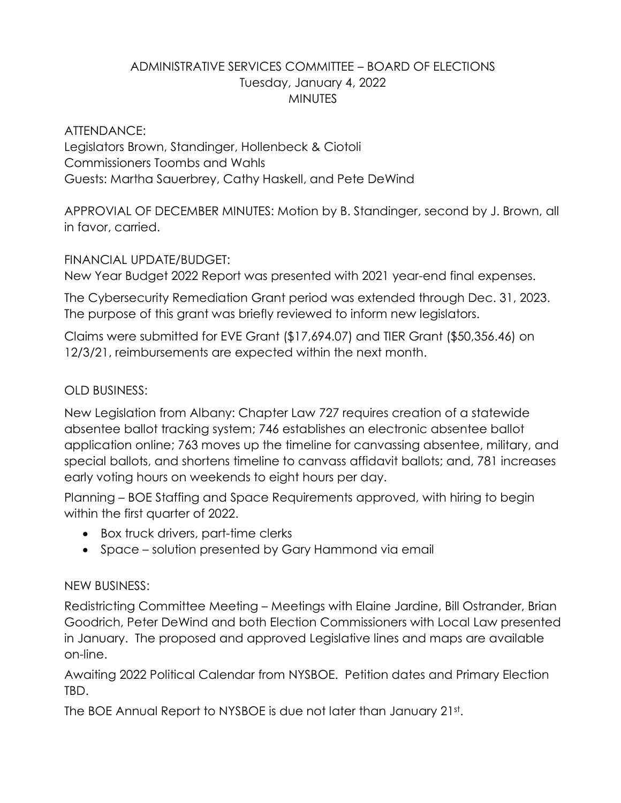## ADMINISTRATIVE SERVICES COMMITTEE – BOARD OF ELECTIONS Tuesday, January 4, 2022 **MINUTES**

ATTENDANCE: Legislators Brown, Standinger, Hollenbeck & Ciotoli Commissioners Toombs and Wahls Guests: Martha Sauerbrey, Cathy Haskell, and Pete DeWind

APPROVIAL OF DECEMBER MINUTES: Motion by B. Standinger, second by J. Brown, all in favor, carried.

## FINANCIAL UPDATE/BUDGET:

New Year Budget 2022 Report was presented with 2021 year-end final expenses.

The Cybersecurity Remediation Grant period was extended through Dec. 31, 2023. The purpose of this grant was briefly reviewed to inform new legislators.

Claims were submitted for EVE Grant (\$17,694.07) and TIER Grant (\$50,356.46) on 12/3/21, reimbursements are expected within the next month.

## OLD BUSINESS:

New Legislation from Albany: Chapter Law 727 requires creation of a statewide absentee ballot tracking system; 746 establishes an electronic absentee ballot application online; 763 moves up the timeline for canvassing absentee, military, and special ballots, and shortens timeline to canvass affidavit ballots; and, 781 increases early voting hours on weekends to eight hours per day.

Planning – BOE Staffing and Space Requirements approved, with hiring to begin within the first quarter of 2022.

- Box truck drivers, part-time clerks
- Space solution presented by Gary Hammond via email

## NEW BUSINESS:

Redistricting Committee Meeting – Meetings with Elaine Jardine, Bill Ostrander, Brian Goodrich, Peter DeWind and both Election Commissioners with Local Law presented in January. The proposed and approved Legislative lines and maps are available on-line.

Awaiting 2022 Political Calendar from NYSBOE. Petition dates and Primary Election TBD.

The BOE Annual Report to NYSBOE is due not later than January 21st .